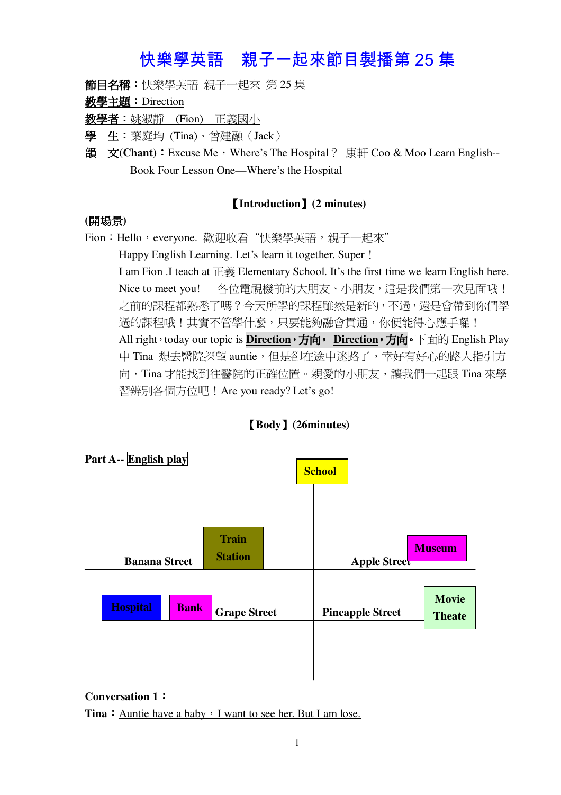# 快樂學英語 親子一起來節目製播第 25 集

**節目名稱:**快樂學英語 親子一起來 第 25 集

# 教學主題: Direction

**教學者:**姚淑靜 (Fion) 正義國小

學 生:葉庭均 (Tina)、曾建融 (Jack)

**<u>韻 文(Chant): Excuse Me**, Where's The Hospital? 康軒 Coo & Moo Learn English--</u> Book Four Lesson One—Where's the Hospital

# **Introduction(2 minutes)**

# **()**

Fion:Hello,everyone. 歡迎收看"快樂學英語,親子一起來" Happy English Learning. Let's learn it together. Super! I am Fion .I teach at  $E \ddot{\mathbf{R}}$  Elementary School. It's the first time we learn English here. Nice to meet you! 各位電視機前的大朋友、小朋友,這是我們第一次見面哦! 之前的課程都熟悉了嗎?今天所學的課程雖然是新的,不過,還是會帶到你們學 過的課程哦!其實不管學什麼,只要能夠融會貫涌,你便能得心應手囉! All right · today our topic is **Direction · 方向** · Direction **· 方向** · 下面的 English Play 中 Tina 想去醫院探望 auntie, 但是卻在涂中洣路了, 幸好有好心的路人指引方 向,Tina 才能找到往醫院的正確位置。親愛的小朋友,讓我們一起跟 Tina 來學 習辨別各個方位吧! Are you ready? Let's go!



# **Body(26minutes)**

#### **Conversation 1**

**Tina**: Auntie have a baby  $\cdot$  I want to see her. But I am lose.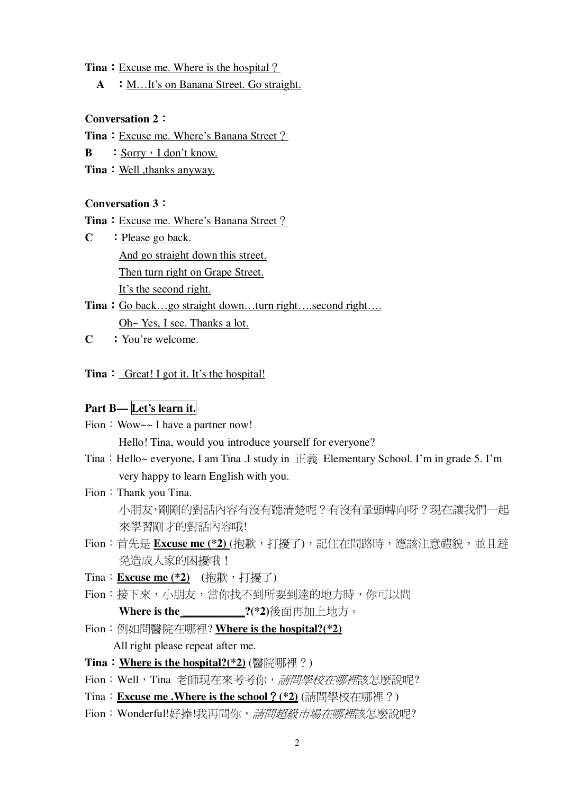#### **Tina**: <u>Excuse me. Where is the hospital?</u>

**A** : M…It's on Banana Street. Go straight.

#### **Conversation 2**

#### **Tina**: Excuse me. Where's Banana Street?

**B** : Sorry, I don't know.

**Tina**: Well, thanks anyway.

#### **Conversation 3**

**Tina**: Excuse me. Where's Banana Street?

**C** : Please go back. And go straight down this street. Then turn right on Grape Street. It's the second right.

# **Tina**: Go back…go straight down…turn right….second right…. Oh~ Yes, I see. Thanks a lot.

**C** You're welcome.

#### **Tina** : Great! I got it. It's the hospital!

# **Part B— Let's learn it.**

Fion: Wow~~ I have a partner now!

Hello! Tina, would you introduce yourself for everyone?

Tina: Hello~ everyone, I am Tina .I study in  $E\ddot{\hat{\mathcal{F}}}$  Elementary School. I'm in grade 5. I'm very happy to learn English with you.

#### Fion: Thank you Tina.

֦֘

小朋友,剛剛的對話內容有沒有聽清楚呢?有沒有暈頭轉向呀?現在讓我們一起 來學習剛才的對話內容哦!

- Fion: 首先是 Excuse me (\*2) (抱歉, 打擾了), 記住在問路時, 應該注意禮貌, 並且避 免造成人家的困擾哦!
- Tina: **Excuse me** (\*2) (抱歉, 打擾了)
- Fion:接下來,小朋友,當你找不到所要到達的地方時,你可以問 **Where is the \_\_\_\_\_\_\_\_\_\_\_?(\*2)**後面再加上地方。
- Fion: 例如問醫院在哪裡? Where is the hospital?(\*2) All right please repeat after me.
- **Tina** : Where is the hospital?(\*2) (醫院哪裡?)
- Fion:Well,Tina 老師現在來考考你,*請問學校在哪裡*該怎麼說呢?
- Tina: **Excuse me. Where is the school?** (\*2) (請問學校在哪裡?)
- Fion:Wonderful!好捧!我再問你,*請問超級市場在哪裡*該怎麼說呢?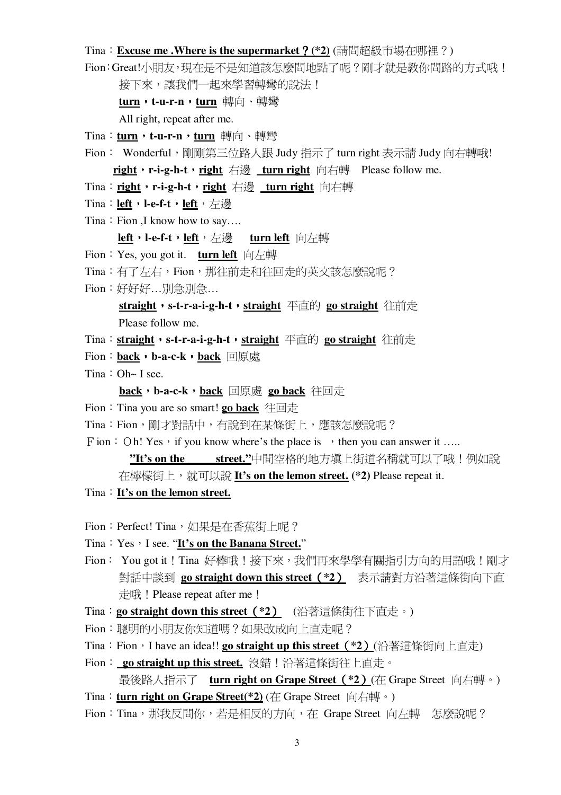#### Tina: Excuse me . Where is the supermarket ? (\*2) (請問超級市場在哪裡?)

Fion:Great!小朋友,現在是不是知道該怎麼問地點了呢?剛才就是教你問路的方式哦!

接下來,讓我們一起來學習轉彎的說法!

turn, t-u-r-n, turn 轉向、轉彎

All right, repeat after me.

- Tina: turn, t-u-r-n, turn 轉向、轉彎
- Fion: Wonderful,剛剛第三位路人跟 Judy 指示了 turn right 表示請 Judy 向右轉哦! right, r-i-g-h-t, right 右邊 turn right 向右轉 Please follow me.

Tina: right, r-i-g-h-t, right 右邊 turn right 向右轉

- Tina: left, l-e-f-t, left, 右邊
- Tina: Fion ,I know how to say....

left, l-e-f-t, left, 左邊 turn left 向左轉

- Fion: Yes, you got it. turn left 向左轉
- Tina:有了左右, Fion, 那往前走和往回走的英文該怎麼說呢?
- Fion: 好好好...別急別急...

straight, s-t-r-a-i-g-h-t, straight 平直的 go straight 往前走 Please follow me.

- Tina: straight, s-t-r-a-i-g-h-t, straight 平直的 go straight 往前走
- Fion: back, b-a-c-k, back 回原處
- Tina:  $Oh~I$  see.

back, b-a-c-k, back 回原處 go back 往回走

- Fion: Tina you are so smart! go back 往回走
- Tina: Fion, 剛才對話中, 有說到在某條街上, 應該怎麼說呢?
- F ion: Oh! Yes, if you know where's the place is  $\rightarrow$  then you can answer it ....

"It's on the \_\_\_\_\_\_street."中間空格的地方填上街道名稱就可以了哦!例如說

在檸檬街上, 就可以說 It's on the lemon street. (\*2) Please repeat it.

- Tina: It's on the lemon street.
- Fion: Perfect! Tina, 如果是在香蕉街上呢?
- Tina: Yes, I see. "It's on the Banana Street."
- Fion: You got it!Tina 好棒哦!接下來,我們再來學學有關指引方向的用語哦!剛才 對話中談到 go straight down this street (\*2) 表示請對方沿著這條街向下直 走哦! Please repeat after me !
- Tina: go straight down this street (\*2) (沿著這條街往下直走。)
- Fion: 聰明的小朋友你知道嗎?如果改成向上直走呢?
- Tina: Fion, I have an idea!! go straight up this street (\*2) (沿著這條街向上直走)
- Fion: go straight up this street. 沒錯! 沿著這條街往上直走。 最後路人指示了 turn right on Grape Street (\*2) (在 Grape Street 向右轉。)
- Tina: turn right on Grape Street(\*2) (在 Grape Street 向右轉。)
- Fion:Tina,那我反問你,若是相反的方向,在 Grape Street 向左轉 怎麼說呢?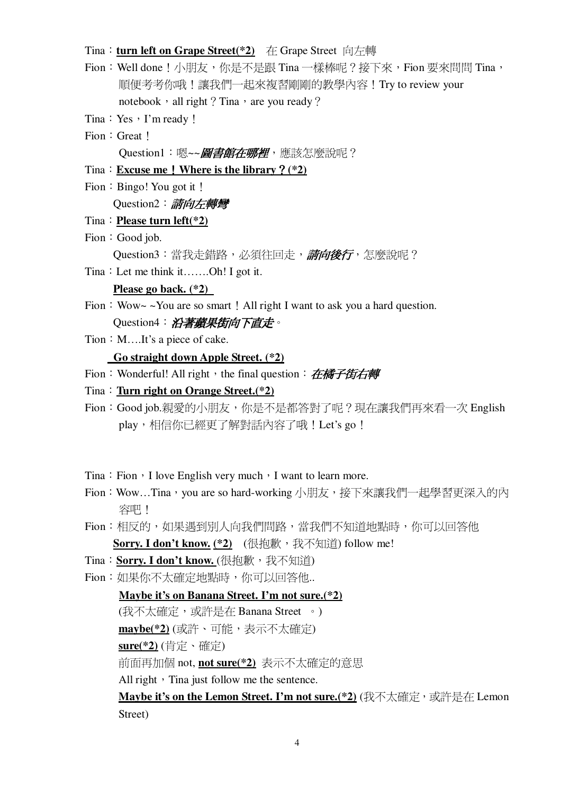# Tina: turn left on Grape Street(\*2) 在 Grape Street 向左轉

- Fion: Well done ! 小朋友,你是不是跟 Tina 一樣棒呢? 接下來, Fion 要來問問 Tina, 順便考考你哦!讓我們一起來複習剛剛的教學內容!Try to review your notebook, all right? Tina, are you ready?
- Tina: Yes, I'm ready!
- Fion: Great!

Question1: 嗯~~ 图書館在哪裡, 應該怎麼說呢?

- Tina: Excuse me ! Where is the library ?  $(*2)$
- Fion: Bingo! You got it!

Ouestion2: 請向左轉彎

- Tina: Please turn  $left(*2)$
- Fion: Good job.

Question3:當我走錯路,必須往回走,*請向後行*,怎麼說呢?

Tina: Let me think it.......Oh! I got it.

## Please go back.  $(*2)$

Fion:  $Wow \sim You$  are so smart! All right I want to ask you a hard question. Question4: 沿著蘋果街向下直走。

Tion: M....It's a piece of cake.

#### Go straight down Apple Street. (\*2)

Fion: Wonderful! All right, the final question: 在橘子街右轉

- Tina: Turn right on Orange Street. $(*)$
- Fion: Good job.親愛的小朋友,你是不是都答對了呢?現在讓我們再來看一次 English play,相信你已經更了解對話內容了哦! Let's go!
- Tina: Fion, I love English very much, I want to learn more.
- Fion: Wow...Tina, vou are so hard-working 小朋友,接下來讓我們一起學習更深入的內 容吧!
- Fion:相反的,如果遇到別人向我們問路,當我們不知道地點時,你可以回答他 Sorry. I don't know. (\*2) (很抱歉, 我不知道) follow me!
- Tina: Sorry. I don't know. (很抱歉, 我不知道)
- Fion: 如果你不太確定地點時, 你可以回答他...
- Maybe it's on Banana Street. I'm not sure.(\*2) (我不太確定,或許是在 Banana Street 。) maybe(\*2) (或許、可能,表示不太確定) sure(\*2)(肯定、確定) 前面再加個 not, not sure(\*2) 表示不太確定的意思 All right, Tina just follow me the sentence. Maybe it's on the Lemon Street. I'm not sure.(\*2) (我不太確定, 或許是在 Lemon Street)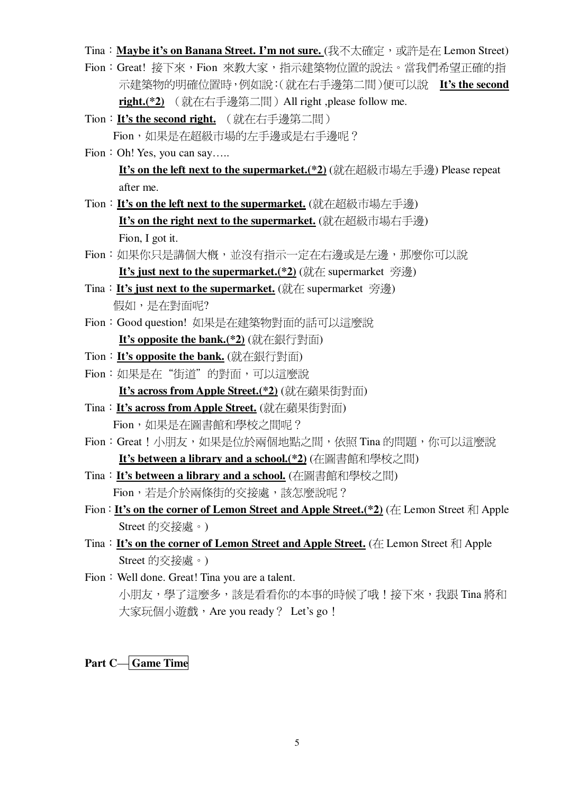Tina: Maybe it's on Banana Street. I'm not sure. (我不太確定,或許是在 Lemon Street)

- Fion: Great! 接下來, Fion 來教大家, 指示建築物位置的說法。當我們希望正確的指 示建築物的明確位置時,例如說:(就在右手邊第二間)便可以說 It's the second right.(\*2) (就在右手邊第二間) All right ,please follow me.
- Tion: It's the second right. (就在右手邊第二間) Fion,如果是在超級市場的左手邊或是右手邊呢?
- Fion: Oh! Yes, you can say..... It's on the left next to the supermarket.(\*2) (就在超級市場左手邊) Please repeat after me.
- Tion: It's on the left next to the supermarket. (就在超級市場左手邊) It's on the right next to the supermarket. (就在超級市場右手邊) Fion, I got it.
- Fion: 如果你只是講個大概, 並沒有指示一定在右邊或是左邊, 那麼你可以說 It's just next to the supermarket.(\*2) (就在 supermarket 旁邊)
- Tina: **It's just next to the supermarket.** (就在 supermarket 旁邊) 假如,是在對面呢?
- Fion: Good question! 如果是在建築物對面的話可以這麼說 It's opposite the bank.(\*2) (就在銀行對面)
- Tion: It's opposite the bank. (就在銀行對面)
- Fion: 如果是在"街道"的對面,可以這麼說
- It's across from Apple Street.(\*2) (就在蘋果街對面) Tina: It's across from Apple Street. (就在蘋果街對面)
	- Fion,如果是在圖書館和學校之間呢?
- Fion:Great!小朋友,如果是位於兩個地點之間,依照 Tina 的問題,你可以這麼說 It's between a library and a school.(\*2) (在圖書館和學校之間)
- Tina: It's between a library and a school. (在圖書館和學校之間) Fion,若是介於兩條街的交接處,該怎麼說呢?
- Fion: It's on the corner of Lemon Street and Apple Street.(\*2) (在 Lemon Street 和 Apple Street 的交接處。)
- Tina: It's on the corner of Lemon Street and Apple Street. (在 Lemon Street 和 Apple Street 的交接處。)
- Fion: Well done. Great! Tina you are a talent. 小朋友,學了這麼多,該是看看你的本事的時候了哦!接下來,我跟 Tina 將和 大家玩個小遊戲, Are you ready? Let's go !

**Part C-Game Time**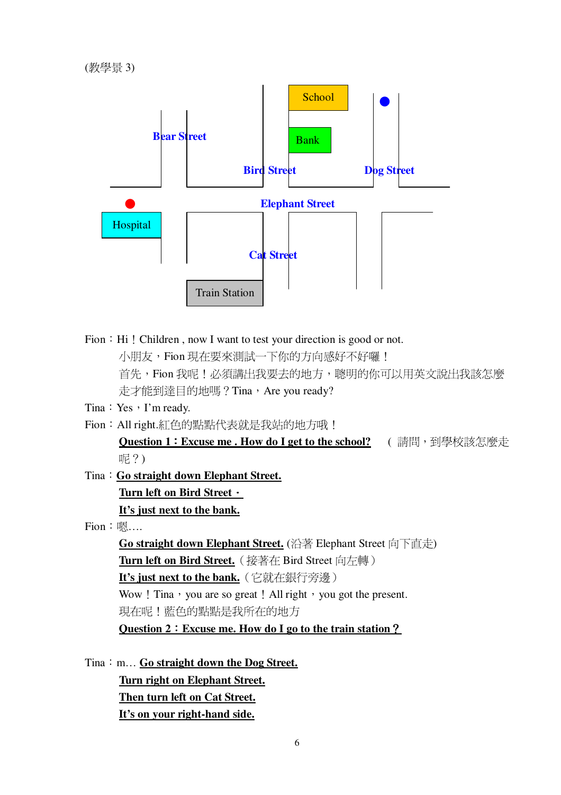

Fion : Hi! Children, now I want to test your direction is good or not. 小朋友,Fion 現在要來測試一下你的方向感好不好囉! 首先,Fion我呢!必須講出我要去的地方,聰明的你可以用英文說出我該怎麼 走才能到達目的地嗎? Tina, Are you ready?

Tina: Yes, I'm ready.

Fion: All right.紅色的點點代表就是我站的地方哦!

Ouestion 1: Excuse me . How do I get to the school? (請問,到學校該怎麼走 呢?)

Tina: Go straight down Elephant Street. Turn left on Bird Street · It's just next to the bank.

 $F$ ion:嗯....

Go straight down Elephant Street. (沿著 Elephant Street 向下直走) Turn left on Bird Street. (接著在 Bird Street 向左轉) It's just next to the bank. (它就在銀行旁邊) Wow ! Tina, you are so great ! All right, you got the present. 現在呢!藍色的點點是我所在的地方 Question 2 : Excuse me. How do I go to the train station ?

Tina: m... Go straight down the Dog Street. Turn right on Elephant Street. Then turn left on Cat Street. It's on your right-hand side.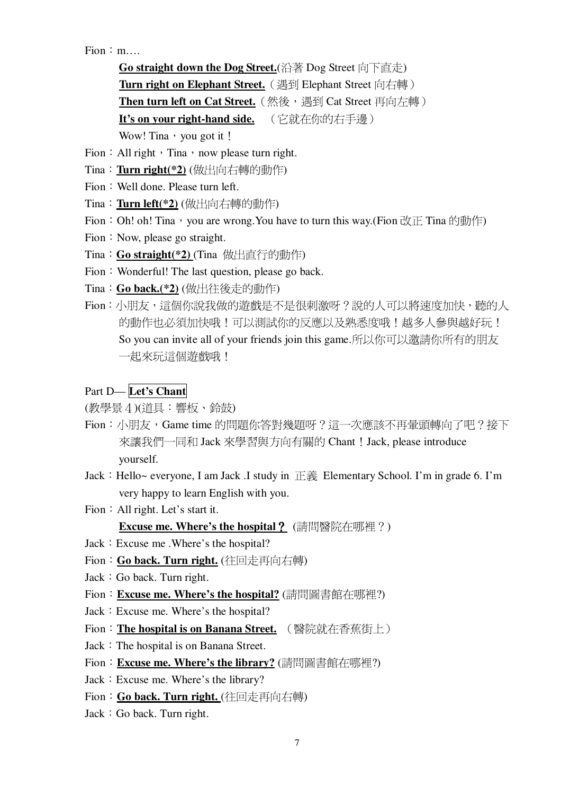$Fion: m$ 

Go straight down the Dog Street. (沿著 Dog Street 向下直走) Turn right on Elephant Street. (遇到 Elephant Street 向右轉) Then turn left on Cat Street. (然後,遇到 Cat Street 再向左轉) It's on your right-hand side. (它就在你的右手邊) Wow! Tina, you got it!

Fion : All right  $\cdot$  Tina  $\cdot$  now please turn right.

- Tina: Turn right(\*2) (做出向右轉的動作)
- Fion: Well done. Please turn left.
- Tina: Turn left(\*2) (做出向右轉的動作)
- Fion: Oh! oh! Tina, you are wrong. You have to turn this way. (Fion  $\mathbb{R}$  Tina 的動作)
- Fion : Now, please go straight.
- Tina: Go straight(\*2) (Tina 做出直行的動作)
- Fion: Wonderful! The last question, please go back.
- Tina: Go back.(\*2) (做出往後走的動作)
- Fion: 小朋友,這個你說我做的游戲是不是很刺激呀?說的人可以將速度加快,聽的人 的動作也必須加快哦!可以測試你的反應以及熟悉度哦!越多人參與越好玩! So you can invite all of your friends join this game.所以你可以邀請你所有的朋友 一起來玩這個游戲哦!

# Part D-Let's Chant

(教學景4)(道具:響板、鈴鼓)

- Fion:小朋友,Game time 的問題你答對幾題呀?這一次應該不再暈頭轉向了吧?接下 來讓我們一同和 Jack 來學習與方向有關的 Chant ! Jack, please introduce yourself.
- Jack: Hello~ everyone, I am Jack .I study in 正義 Elementary School. I'm in grade 6. I'm very happy to learn English with you.
- Fion: All right. Let's start it.

**Excuse me. Where's the hospital ?** (請問醫院在哪裡?)

- Jack : Excuse me . Where's the hospital?
- Fion: Go back. Turn right. (往回走再向右轉)
- Jack : Go back. Turn right.
- Fion: Excuse me. Where's the hospital? (請問圖書館在哪裡?)
- Jack : Excuse me. Where's the hospital?
- Fion: The hospital is on Banana Street. (醫院就在香蕉街上)
- Jack : The hospital is on Banana Street.
- Fion: Excuse me. Where's the library? (請問圖書館在哪裡?)
- Jack : Excuse me. Where's the library?
- Fion: Go back. Turn right. (往回走再向右轉)
- Jack : Go back. Turn right.